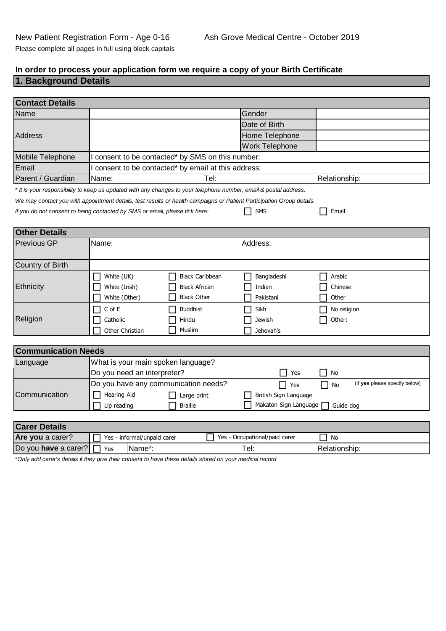# **In order to process your application form we require a copy of your Birth Certificate**

## **1. Background Details**

| <b>Contact Details</b>     |                                                                                                                       |                               |                                     |
|----------------------------|-----------------------------------------------------------------------------------------------------------------------|-------------------------------|-------------------------------------|
| Name                       |                                                                                                                       | Gender                        |                                     |
|                            |                                                                                                                       | Date of Birth                 |                                     |
| <b>Address</b>             |                                                                                                                       | Home Telephone                |                                     |
|                            |                                                                                                                       | <b>Work Telephone</b>         |                                     |
| Mobile Telephone           | consent to be contacted* by SMS on this number:                                                                       |                               |                                     |
| Email                      | consent to be contacted* by email at this address:                                                                    |                               |                                     |
| Parent / Guardian          | Name:<br>Tel:                                                                                                         |                               | Relationship:                       |
|                            | * It is your responsibility to keep us updated with any changes to your telephone number, email & postal address.     |                               |                                     |
|                            | We may contact you with appointment details, test results or health campaigns or Patient Participation Group details. |                               |                                     |
|                            | If you do not consent to being contacted by SMS or email, please tick here:                                           | <b>SMS</b>                    | Email                               |
|                            |                                                                                                                       |                               |                                     |
| <b>Other Details</b>       |                                                                                                                       |                               |                                     |
| <b>Previous GP</b>         | Name:                                                                                                                 | Address:                      |                                     |
| Country of Birth           |                                                                                                                       |                               |                                     |
|                            | White (UK)<br><b>Black Caribbean</b>                                                                                  | Bangladeshi                   | Arabic                              |
| Ethnicity                  | White (Irish)<br><b>Black African</b>                                                                                 | Indian                        | Chinese                             |
|                            | <b>Black Other</b><br>White (Other)                                                                                   | Pakistani                     | Other                               |
|                            | $\mathsf C$ of $\mathsf E$<br><b>Buddhist</b>                                                                         | Sikh                          | No religion                         |
| Religion                   | Catholic<br>Hindu                                                                                                     | Jewish                        | Other:                              |
|                            | Muslim<br>Other Christian                                                                                             | Jehovah's                     |                                     |
|                            |                                                                                                                       |                               |                                     |
| <b>Communication Needs</b> |                                                                                                                       |                               |                                     |
| Language                   | What is your main spoken language?                                                                                    |                               |                                     |
|                            | Do you need an interpreter?                                                                                           | Yes                           | No                                  |
|                            | Do you have any communication needs?                                                                                  | Yes                           | (if yes please specify below)<br>No |
| Communication              | Hearing Aid<br>Large print                                                                                            | British Sign Language         |                                     |
|                            | Lip reading<br><b>Braille</b>                                                                                         | Makaton Sign Language         | Guide dog                           |
|                            |                                                                                                                       |                               |                                     |
| <b>Carer Details</b>       |                                                                                                                       |                               |                                     |
| Are you a carer?           | Yes - informal/unpaid carer                                                                                           | Yes - Occupational/paid carer | No                                  |
| Do you have a carer?       | Name*:<br>Yes                                                                                                         | Tel:                          | Relationship:                       |

\**Only add carer's details if they give their consent to have these details stored on your medical record*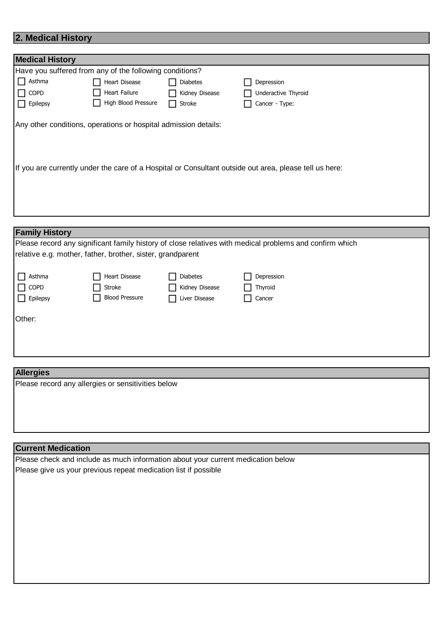## **2. Medical History**

| <b>Medical History</b>                                                                                                                                                    |                                                         |                |                     |
|---------------------------------------------------------------------------------------------------------------------------------------------------------------------------|---------------------------------------------------------|----------------|---------------------|
|                                                                                                                                                                           | Have you suffered from any of the following conditions? |                |                     |
| $\Box$ Asthma                                                                                                                                                             | <b>Heart Disease</b>                                    | Diabetes       | Depression          |
| $\Box$ COPD                                                                                                                                                               | Heart Failure                                           | Kidney Disease | Underactive Thyroid |
| $\Box$ Epilepsy                                                                                                                                                           | High Blood Pressure                                     | Stroke         | Cancer - Type:      |
| Any other conditions, operations or hospital admission details:<br>If you are currently under the care of a Hospital or Consultant outside out area, please tell us here: |                                                         |                |                     |
| <b>Family History</b>                                                                                                                                                     |                                                         |                |                     |

| Please record any significant family history of close relatives with medical problems and confirm which |                                                            |                 |                |  |
|---------------------------------------------------------------------------------------------------------|------------------------------------------------------------|-----------------|----------------|--|
|                                                                                                         | relative e.g. mother, father, brother, sister, grandparent |                 |                |  |
|                                                                                                         |                                                            |                 |                |  |
| Asthma<br>$\mathbf{L}$                                                                                  | <b>Heart Disease</b>                                       | <b>Diabetes</b> | Depression     |  |
| $\Box$ COPD                                                                                             | Stroke                                                     | Kidney Disease  | $\Box$ Thyroid |  |
| $\Box$ Epilepsy                                                                                         | <b>Blood Pressure</b>                                      | Liver Disease   | Cancer         |  |
|                                                                                                         |                                                            |                 |                |  |
| Other:                                                                                                  |                                                            |                 |                |  |
|                                                                                                         |                                                            |                 |                |  |
|                                                                                                         |                                                            |                 |                |  |
|                                                                                                         |                                                            |                 |                |  |

#### **Allergies**

Please record any allergies or sensitivities below

#### **Current Medication**

Please check and include as much information about your current medication below Please give us your previous repeat medication list if possible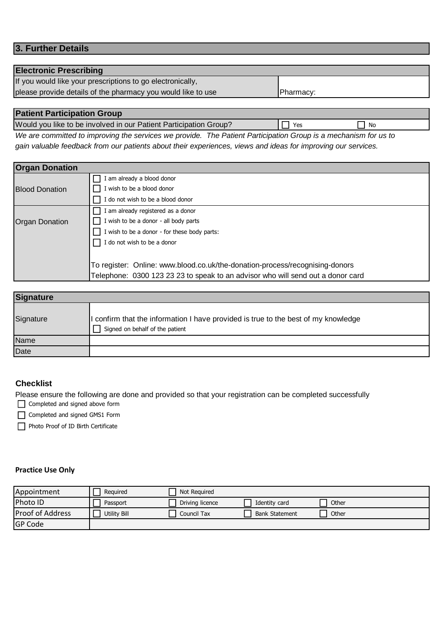#### **3. Further Details**

#### **Electronic Prescribing**

If you would like your prescriptions to go electronically,

please provide details of the pharmacy you would like to use **Pharmacy:** 

### **Patient Participation Group**

Would you like to be involved in our Patient Participation Group?  $\Box$  Yes  $\Box$  No

*We are committed to improving the services we provide. The Patient Participation Group is a mechanism for us to gain valuable feedback from our patients about their experiences, views and ideas for improving our services.* 

| <b>Organ Donation</b> |                                                                                 |  |  |
|-----------------------|---------------------------------------------------------------------------------|--|--|
|                       | am already a blood donor                                                        |  |  |
| <b>Blood Donation</b> | I wish to be a blood donor                                                      |  |  |
|                       | do not wish to be a blood donor                                                 |  |  |
|                       | I am already registered as a donor                                              |  |  |
| <b>Organ Donation</b> | I wish to be a donor - all body parts                                           |  |  |
|                       | I wish to be a donor - for these body parts:                                    |  |  |
|                       | I do not wish to be a donor                                                     |  |  |
|                       |                                                                                 |  |  |
|                       | To register: Online: www.blood.co.uk/the-donation-process/recognising-donors    |  |  |
|                       | Telephone: 0300 123 23 23 to speak to an advisor who will send out a donor card |  |  |

| <b>Signature</b> |                                                                                                                     |
|------------------|---------------------------------------------------------------------------------------------------------------------|
| Signature        | confirm that the information I have provided is true to the best of my knowledge<br>Signed on behalf of the patient |
| Name             |                                                                                                                     |
| Date             |                                                                                                                     |

#### **Checklist**

Please ensure the following are done and provided so that your registration can be completed successfully

Completed and signed above form

Completed and signed GMS1 Form

Photo Proof of ID Birth Certificate

#### **Practice Use Only**

| Appointment             | Reguired     | Not Required    |                       |       |
|-------------------------|--------------|-----------------|-----------------------|-------|
| Photo ID                | Passport     | Driving licence | Identity card         | Other |
| <b>Proof of Address</b> | Utility Bill | Council Tax     | <b>Bank Statement</b> | Other |
| <b>GP Code</b>          |              |                 |                       |       |